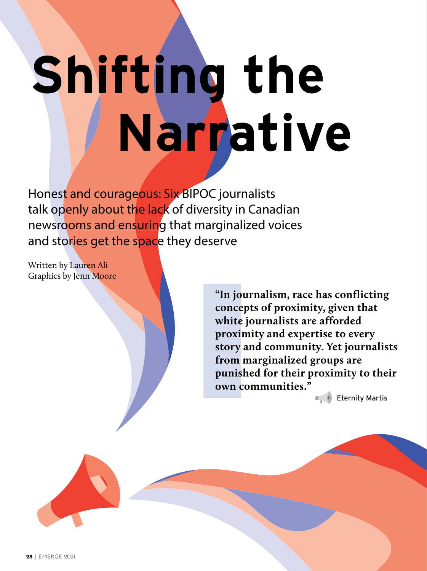# **Shifting the Narrative**

Honest and courageous: Six BIPOC journalists talk openly about the lack of diversity in Canadian newsrooms and ensuring that marginalized voices and stories get the space they deserve

Written by Lauren Ali Graphics by Jenn Moore

> **"In journalism, race has conflicting concepts of proximity, given that white journalists are afforded proximity and expertise to every story and community. Yet journalists from marginalized groups are punished for their proximity to their own communities."**

> > **Eternity Martis**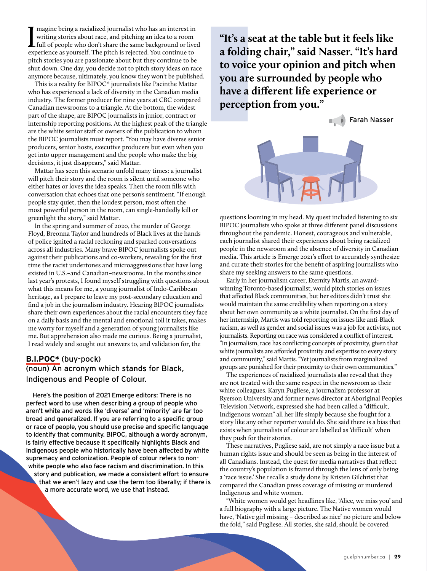I magine being a racialized journalist who has an interest in<br>writing stories about race, and pitching an idea to a room<br>full of people who don't share the same background or lived<br>experience as vourself. The pitch is reje magine being a racialized journalist who has an interest in writing stories about race, and pitching an idea to a room experience as yourself. The pitch is rejected. You continue to pitch stories you are passionate about but they continue to be shut down. One day, you decide not to pitch story ideas on race anymore because, ultimately, you know they won't be published.

This is a reality for BIPOC\* journalists like Pacinthe Mattar who has experienced a lack of diversity in the Canadian media industry. The former producer for nine years at CBC compared Canadian newsrooms to a triangle. At the bottom, the widest part of the shape, are BIPOC journalists in junior, contract or internship reporting positions. At the highest peak of the triangle are the white senior staff or owners of the publication to whom the BIPOC journalists must report. "You may have diverse senior producers, senior hosts, executive producers but even when you get into upper management and the people who make the big decisions, it just disappears," said Mattar.

Mattar has seen this scenario unfold many times: a journalist will pitch their story and the room is silent until someone who either hates or loves the idea speaks. Then the room fills with conversation that echoes that one person's sentiment. "If enough people stay quiet, then the loudest person, most often the most powerful person in the room, can single-handedly kill or greenlight the story," said Mattar.

In the spring and summer of 2020, the murder of George Floyd, Breonna Taylor and hundreds of Black lives at the hands of police ignited a racial reckoning and sparked conversations across all industries. Many brave BIPOC journalists spoke out against their publications and co-workers, revealing for the first time the racist undertones and microaggressions that have long existed in U.S.–and Canadian–newsrooms. In the months since last year's protests, I found myself struggling with questions about what this means for me, a young journalist of Indo-Caribbean heritage, as I prepare to leave my post-secondary education and find a job in the journalism industry. Hearing BIPOC journalists share their own experiences about the racial encounters they face on a daily basis and the mental and emotional toll it takes, makes me worry for myself and a generation of young journalists like me. But apprehension also made me curious. Being a journalist, I read widely and sought out answers to, and validation for, the

### **B.I.POC\*** (buy-pock) (noun) An acronym which stands for Black, Indigenous and People of Colour.

Here's the position of 2021 Emerge editors: There is no perfect word to use when describing a group of people who aren't white and words like 'diverse' and 'minority' are far too broad and generalized. If you are referring to a specific group or race of people, you should use precise and specific language to identify that community. BIPOC, although a wordy acronym, is fairly effective because it specifically highlights Black and Indigenous people who historically have been affected by white supremacy and colonization. People of colour refers to nonwhite people who also face racism and discrimination. In this story and publication, we made a consistent effort to ensure that we aren't lazy and use the term too liberally; if there is a more accurate word, we use that instead.

**"It's a seat at the table but it feels like a folding chair," said Nasser. "It's hard to voice your opinion and pitch when you are surrounded by people who have a different life experience or perception from you."**



questions looming in my head. My quest included listening to six BIPOC journalists who spoke at three different panel discussions throughout the pandemic. Honest, courageous and vulnerable, each journalist shared their experiences about being racialized people in the newsroom and the absence of diversity in Canadian media. This article is Emerge 2021's effort to accurately synthesize and curate their stories for the benefit of aspiring journalists who share my seeking answers to the same questions.

Early in her journalism career, Eternity Martis, an awardwinning Toronto-based journalist, would pitch stories on issues that affected Black communities, but her editors didn't trust she would maintain the same credibility when reporting on a story about her own community as a white journalist. On the first day of her internship, Martis was told reporting on issues like anti-Black racism, as well as gender and social issues was a job for activists, not journalists. Reporting on race was considered a conflict of interest. "In journalism, race has conflicting concepts of proximity, given that white journalists are afforded proximity and expertise to every story and community," said Martis. "Yet journalists from marginalized groups are punished for their proximity to their own communities."

The experiences of racialized journalists also reveal that they are not treated with the same respect in the newsroom as their white colleagues. Karyn Pugliese, a journalism professor at Ryerson University and former news director at Aboriginal Peoples Television Network, expressed she had been called a "difficult, Indigenous woman" all her life simply because she fought for a story like any other reporter would do. She said there is a bias that exists when journalists of colour are labelled as 'difficult' when they push for their stories.

These narratives, Pugliese said, are not simply a race issue but a human rights issue and should be seen as being in the interest of all Canadians. Instead, the quest for media narratives that reflect the country's population is framed through the lens of only being a 'race issue.' She recalls a study done by Kristen Gilchrist that compared the Canadian press coverage of missing or murdered Indigenous and white women.

"White women would get headlines like, 'Alice, we miss you' and a full biography with a large picture. The Native women would have, 'Native girl missing – described as nice' no picture and below the fold," said Pugliese. All stories, she said, should be covered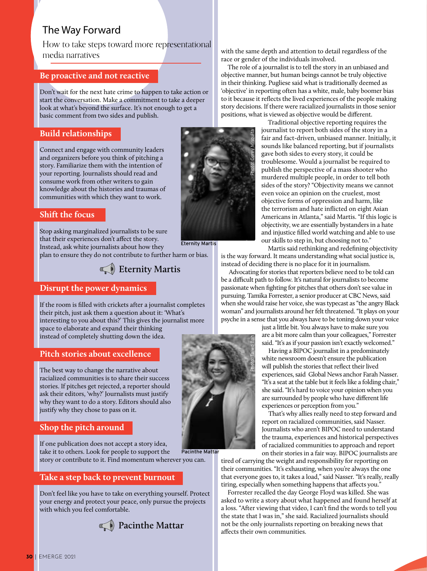## The Way Forward

How to take steps toward more representational media narratives

### **Be proactive and not reactive**

Don't wait for the next hate crime to happen to take action or start the conversation. Make a commitment to take a deeper look at what's beyond the surface. It's not enough to get a basic comment from two sides and publish.

### **Build relationships**

Connect and engage with community leaders and organizers before you think of pitching a story. Familiarize them with the intention of your reporting. Journalists should read and consume work from other writers to gain knowledge about the histories and traumas of communities with which they want to work.

### **Shift the focus**

Stop asking marginalized journalists to be sure that their experiences don't affect the story. Instead, ask white journalists about how they plan to ensure they do not contribute to further harm or bias. Eternity Martis

# **Eternity Martis**

### **Disrupt the power dynamics**

If the room is filled with crickets after a journalist completes their pitch, just ask them a question about it: 'What's interesting to you about this?' This gives the journalist more space to elaborate and expand their thinking instead of completely shutting down the idea.

### **Pitch stories about excellence**

The best way to change the narrative about racialized communities is to share their success stories. If pitches get rejected, a reporter should ask their editors, 'why?' Journalists must justify why they want to do a story. Editors should also justify why they chose to pass on it.

### **Shop the pitch around**

If one publication does not accept a story idea,

take it to others. Look for people to support the story or contribute to it. Find momentum wherever you can. Pacinthe Mattar

### **Take a step back to prevent burnout**

Don't feel like you have to take on everything yourself. Protect your energy and protect your peace, only pursue the projects with which you feel comfortable.



race or gender of the individuals involved.

The role of a journalist is to tell the story in an unbiased and objective manner, but human beings cannot be truly objective in their thinking. Pugliese said what is traditionally deemed as 'objective' in reporting often has a white, male, baby boomer bias to it because it reflects the lived experiences of the people making story decisions. If there were racialized journalists in those senior positions, what is viewed as objective would be different.

Photo: Corey Misquita

Traditional objective reporting requires the journalist to report both sides of the story in a fair and fact-driven, unbiased manner. Initially, it sounds like balanced reporting, but if journalists gave both sides to every story, it could be troublesome. Would a journalist be required to publish the perspective of a mass shooter who murdered multiple people, in order to tell both sides of the story? "Objectivity means we cannot even voice an opinion on the cruelest, most objective forms of oppression and harm, like the terrorism and hate inflicted on eight Asian Americans in Atlanta," said Martis. "If this logic is objectivity, we are essentially bystanders in a hate and injustice filled world watching and able to use our skills to step in, but choosing not to."

Martis said rethinking and redefining objectivity is the way forward. It means understanding what social justice is, instead of deciding there is no place for it in journalism.

 Advocating for stories that reporters believe need to be told can be a difficult path to follow. It's natural for journalists to become passionate when fighting for pitches that others don't see value in pursuing. Tamika Forrester, a senior producer at CBC News, said when she would raise her voice, she was typecast as "the angry Black woman" and journalists around her felt threatened. "It plays on your psyche in a sense that you always have to be toning down your voice

> just a little bit. You always have to make sure you are a bit more calm than your colleagues," Forrester said. "It's as if your passion isn't exactly welcomed."

Having a BIPOC journalist in a predominately white newsroom doesn't ensure the publication will publish the stories that reflect their lived experiences, said Global News anchor Farah Nasser. "It's a seat at the table but it feels like a folding chair," she said. "It's hard to voice your opinion when you are surrounded by people who have different life experiences or perception from you."

That's why allies really need to step forward and report on racialized communities, said Nasser. Journalists who aren't BIPOC need to understand the trauma, experiences and historical perspectives of racialized communities to approach and report on their stories in a fair way. BIPOC journalists are

tired of carrying the weight and responsibility for reporting on their communities. "It's exhausting, when you're always the one that everyone goes to, it takes a load," said Nasser. "It's really, really tiring, especially when something happens that affects you."

Forrester recalled the day George Floyd was killed. She was asked to write a story about what happened and found herself at a loss. "After viewing that video, I can't find the words to tell you the state that I was in," she said. Racialized journalists should not be the only journalists reporting on breaking news that affects their own communities.